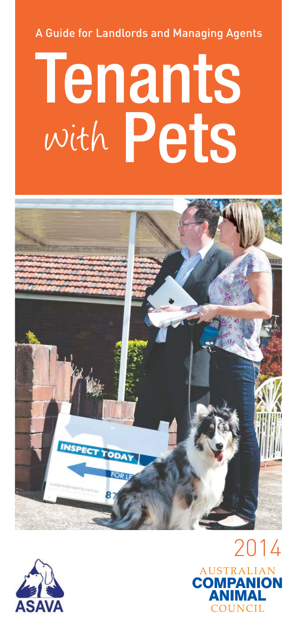A Guide for Landlords and Managing Agents

# Pets **Tenants** with





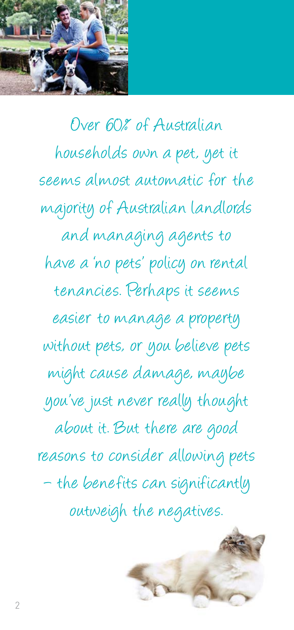

Over 60% of Australian households own a pet, yet it seems almost automatic for the majority of Australian landlords and managing agents to have a 'no pets' policy on rental tenancies. Perhaps it seems easier to manage a property without pets, or you believe pets might cause damage, maybe you've just never really thought about it. But there are good reasons to consider allowing pets – the benefits can significantly outweigh the negatives.

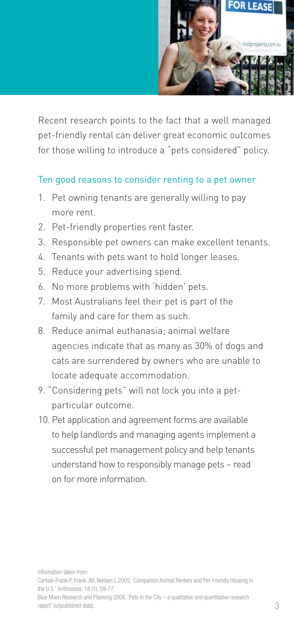

Recent research points to the fact that a well managed pet-friendly rental can deliver great economic outcomes for those willing to introduce a "pets considered" policy.

### Ten good reasons to consider renting to a pet owner

- 1. Pet owning tenants are generally willing to pay more rent.
- 2. Pet-friendly properties rent faster.
- 3. Responsible pet owners can make excellent tenants.
- 4. Tenants with pets want to hold longer leases.
- 5. Reduce your advertising spend.
- 6. No more problems with 'hidden' pets.
- 7. Most Australians feel their pet is part of the family and care for them as such.
- 8. Reduce animal euthanasia; animal welfare agencies indicate that as many as 30% of dogs and cats are surrendered by owners who are unable to locate adequate accommodation.
- 9. "Considering pets" will not lock you into a pet particular outcome.
- 10. Pet application and agreement forms are available to help landlords and managing agents implement a successful pet management policy and help tenants understand how to responsibly manage pets – read on for more information.

Information taken from:

Carlisle-Frank P, Frank JM, Nielsen L 2005, 'Companion Animal Renters and Pet-Friendly Housing in the U.S.' Anthrozoos, 18 (1), 59-77.

Blue Moon Research and Planning 2008, 'Pets in the City – a qualitative and quantitative research report' (unpublished data).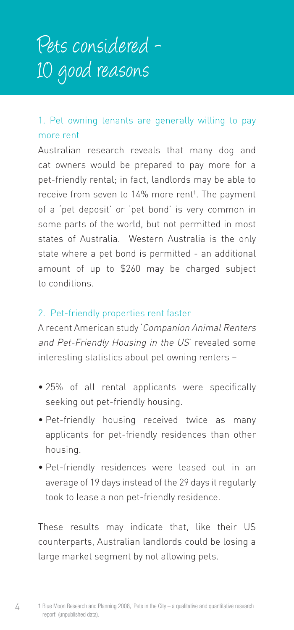### 1. Pet owning tenants are generally willing to pay more rent

Australian research reveals that many dog and cat owners would be prepared to pay more for a pet-friendly rental; in fact, landlords may be able to receive from seven to 14% more rent<sup>1</sup>. The payment of a 'pet deposit' or 'pet bond' is very common in some parts of the world, but not permitted in most states of Australia. Western Australia is the only state where a pet bond is permitted - an additional amount of up to \$260 may be charged subject to conditions.

### 2. Pet-friendly properties rent faster

A recent American study 'Companion Animal Renters and Pet-Friendly Housing in the US' revealed some interesting statistics about pet owning renters –

- 25% of all rental applicants were specifically seeking out pet-friendly housing.
- Pet-friendly housing received twice as many applicants for pet-friendly residences than other housing.
- Pet-friendly residences were leased out in an average of 19 days instead of the 29 days it regularly took to lease a non pet-friendly residence.

These results may indicate that, like their US counterparts, Australian landlords could be losing a large market segment by not allowing pets.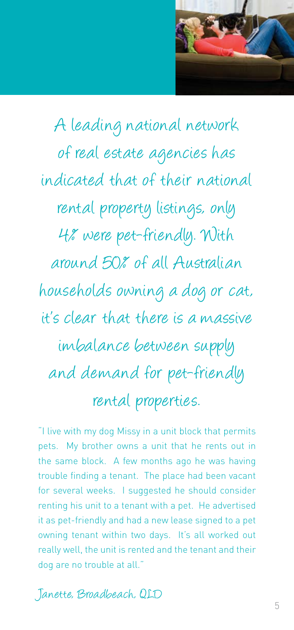

A leading national network of real estate agencies has indicated that of their national rental property listings, only 4% were pet-friendly. With around 50% of all Australian households owning a dog or cat, it's clear that there is a massive imbalance between supply and demand for pet-friendly rental properties.

"I live with my dog Missy in a unit block that permits pets. My brother owns a unit that he rents out in the same block. A few months ago he was having trouble finding a tenant. The place had been vacant for several weeks. I suggested he should consider renting his unit to a tenant with a pet. He advertised it as pet-friendly and had a new lease signed to a pet owning tenant within two days. It's all worked out really well, the unit is rented and the tenant and their dog are no trouble at all."

Janette, Broadbeach, QLD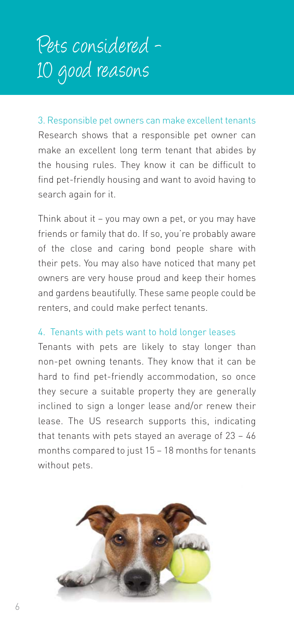3. Responsible pet owners can make excellent tenants Research shows that a responsible pet owner can make an excellent long term tenant that abides by the housing rules. They know it can be difficult to find pet-friendly housing and want to avoid having to search again for it.

Think about it – you may own a pet, or you may have friends or family that do. If so, you're probably aware of the close and caring bond people share with their pets. You may also have noticed that many pet owners are very house proud and keep their homes and gardens beautifully. These same people could be renters, and could make perfect tenants.

### 4. Tenants with pets want to hold longer leases

Tenants with pets are likely to stay longer than non-pet owning tenants. They know that it can be hard to find pet-friendly accommodation, so once they secure a suitable property they are generally inclined to sign a longer lease and/or renew their lease. The US research supports this, indicating that tenants with pets stayed an average of 23 – 46 months compared to just 15 – 18 months for tenants without pets.

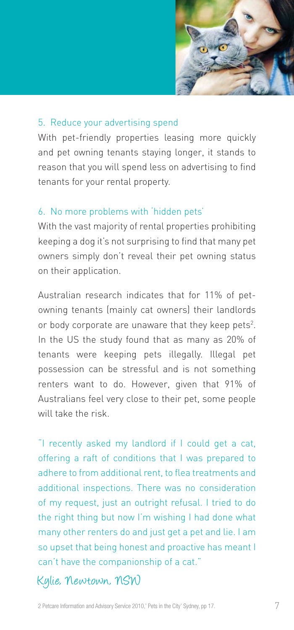

#### 5. Reduce your advertising spend

With pet-friendly properties leasing more quickly and pet owning tenants staying longer, it stands to reason that you will spend less on advertising to find tenants for your rental property.

#### 6. No more problems with 'hidden pets'

With the vast majority of rental properties prohibiting keeping a dog it's not surprising to find that many pet owners simply don't reveal their pet owning status on their application.

Australian research indicates that for 11% of petowning tenants (mainly cat owners) their landlords or body corporate are unaware that they keep pets<sup>2</sup>. In the US the study found that as many as 20% of tenants were keeping pets illegally. Illegal pet possession can be stressful and is not something renters want to do. However, given that 91% of Australians feel very close to their pet, some people will take the risk.

"I recently asked my landlord if I could get a cat, offering a raft of conditions that I was prepared to adhere to from additional rent, to flea treatments and additional inspections. There was no consideration of my request, just an outright refusal. I tried to do the right thing but now I'm wishing I had done what many other renters do and just get a pet and lie. I am so upset that being honest and proactive has meant I can't have the companionship of a cat."

### Kylie, Newtown, NSW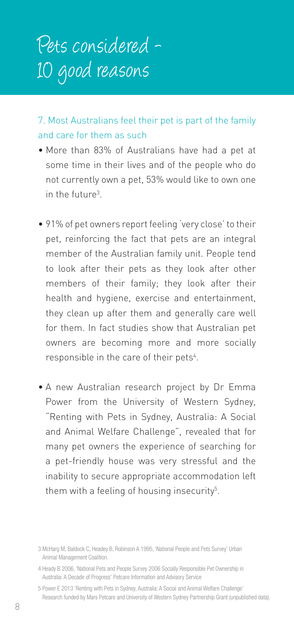7. Most Australians feel their pet is part of the family and care for them as such

- More than 83% of Australians have had a pet at some time in their lives and of the people who do not currently own a pet, 53% would like to own one in the future<sup>3</sup>.
- 91% of pet owners report feeling 'very close' to their pet, reinforcing the fact that pets are an integral member of the Australian family unit. People tend to look after their pets as they look after other members of their family; they look after their health and hygiene, exercise and entertainment, they clean up after them and generally care well for them. In fact studies show that Australian pet owners are becoming more and more socially responsible in the care of their pets $^4$ .
- A new Australian research project by Dr Emma Power from the University of Western Sydney, "Renting with Pets in Sydney, Australia: A Social and Animal Welfare Challenge", revealed that for many pet owners the experience of searching for a pet-friendly house was very stressful and the inability to secure appropriate accommodation left them with a feeling of housing insecurity<sup>5</sup>.

<sup>3</sup> McHarg M, Baldock C, Headey B, Robinson A 1995, 'National People and Pets Survey' Urban Animal Management Coalition.

<sup>4</sup> Heady B 2006, 'National Pets and People Survey 2006 Socially Responsible Pet Ownership in Australia: A Decade of Progress' Petcare Information and Advisory Service

<sup>5</sup> Power E 2013 'Renting with Pets in Sydney, Australia: A Social and Animal Welfare Challenge' Research funded by Mars Petcare and University of Western Sydney Partnership Grant (unpublished data).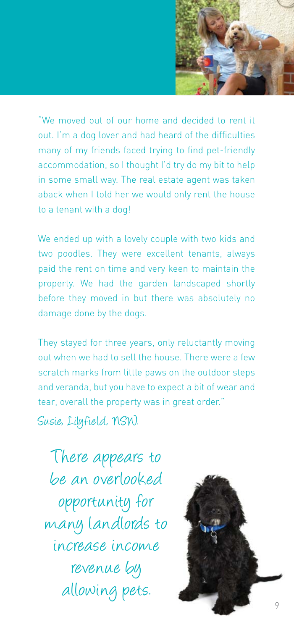

"We moved out of our home and decided to rent it out. I'm a dog lover and had heard of the difficulties many of my friends faced trying to find pet-friendly accommodation, so I thought I'd try do my bit to help in some small way. The real estate agent was taken aback when I told her we would only rent the house to a tenant with a dog!

We ended up with a lovely couple with two kids and two poodles. They were excellent tenants, always paid the rent on time and very keen to maintain the property. We had the garden landscaped shortly before they moved in but there was absolutely no damage done by the dogs.

They stayed for three years, only reluctantly moving out when we had to sell the house. There were a few scratch marks from little paws on the outdoor steps and veranda, but you have to expect a bit of wear and tear, overall the property was in great order."

Susie, Lilyfield, NSW.

There appears to be an overlooked opportunity for many landlords to increase income revenue by allowing pets.

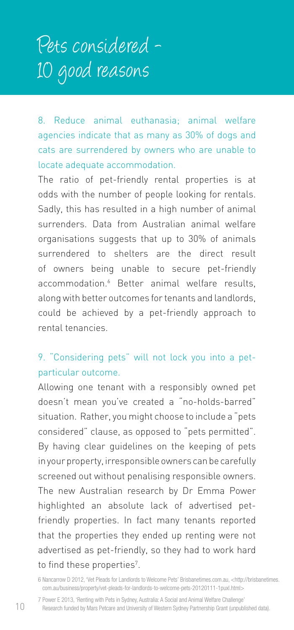8. Reduce animal euthanasia; animal welfare agencies indicate that as many as 30% of dogs and cats are surrendered by owners who are unable to locate adequate accommodation.

The ratio of pet-friendly rental properties is at odds with the number of people looking for rentals. Sadly, this has resulted in a high number of animal surrenders. Data from Australian animal welfare organisations suggests that up to 30% of animals surrendered to shelters are the direct result of owners being unable to secure pet-friendly accommodation.6 Better animal welfare results, along with better outcomes for tenants and landlords, could be achieved by a pet-friendly approach to rental tenancies.

### 9. "Considering pets" will not lock you into a petparticular outcome.

Allowing one tenant with a responsibly owned pet doesn't mean you've created a "no-holds-barred" situation. Rather, you might choose to include a "pets considered" clause, as opposed to "pets permitted". By having clear guidelines on the keeping of pets in your property, irresponsible owners can be carefully screened out without penalising responsible owners. The new Australian research by Dr Emma Power highlighted an absolute lack of advertised petfriendly properties. In fact many tenants reported that the properties they ended up renting were not advertised as pet-friendly, so they had to work hard to find these properties<sup>7</sup>.

7 Power E 2013, 'Renting with Pets in Sydney, Australia: A Social and Animal Welfare Challenge' Research funded by Mars Petcare and University of Western Sydney Partnership Grant (unpublished data).

<sup>6</sup> Nancarrow D 2012, 'Vet Pleads for Landlords to Welcome Pets' Brisbanetimes.com.au, <http://brisbanetimes. com.au/business/property/vet-pleads-for-landlords-to-welcome-pets-20120111-1puxl.html>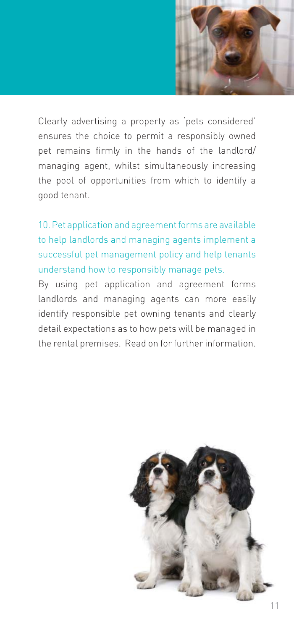

Clearly advertising a property as 'pets considered' ensures the choice to permit a responsibly owned pet remains firmly in the hands of the landlord/ managing agent, whilst simultaneously increasing the pool of opportunities from which to identify a good tenant.

10. Pet application and agreement forms are available to help landlords and managing agents implement a successful pet management policy and help tenants understand how to responsibly manage pets.

By using pet application and agreement forms landlords and managing agents can more easily identify responsible pet owning tenants and clearly detail expectations as to how pets will be managed in the rental premises. Read on for further information.

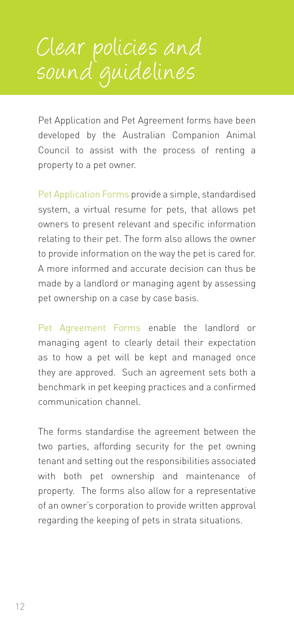# Clear policies and sound guidelines

Pet Application and Pet Agreement forms have been developed by the Australian Companion Animal Council to assist with the process of renting a property to a pet owner.

Pet Application Forms provide a simple, standardised system, a virtual resume for pets, that allows pet owners to present relevant and specific information relating to their pet. The form also allows the owner to provide information on the way the pet is cared for. A more informed and accurate decision can thus be made by a landlord or managing agent by assessing pet ownership on a case by case basis.

Pet Agreement Forms enable the landlord or managing agent to clearly detail their expectation as to how a pet will be kept and managed once they are approved. Such an agreement sets both a benchmark in pet keeping practices and a confirmed communication channel.

The forms standardise the agreement between the two parties, affording security for the pet owning tenant and setting out the responsibilities associated with both pet ownership and maintenance of property. The forms also allow for a representative of an owner's corporation to provide written approval regarding the keeping of pets in strata situations.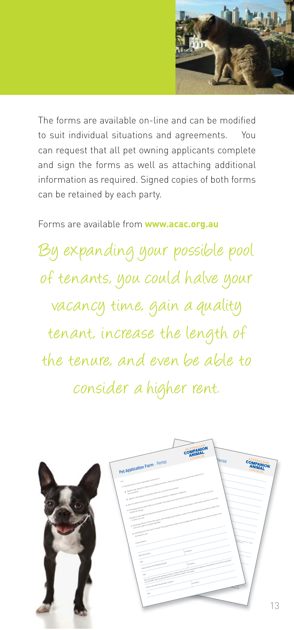

The forms are available on-line and can be modified to suit individual situations and agreements. You can request that all pet owning applicants complete and sign the forms as well as attaching additional information as required. Signed copies of both forms can be retained by each party.

### Forms are available from **www.acac.org.au**

By expanding your possible pool of tenants, you could halve your vacancy time, gain a quality tenant, increase the length of the tenure, and even be able to consider a higher rent.

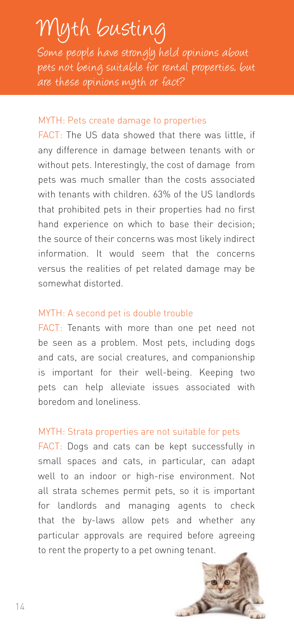# Myth busting

Some people have strongly held opinions about pets not being suitable for rental properties, but are these opinions myth or fact?

#### MYTH: Pets create damage to properties

FACT: The US data showed that there was little, if any difference in damage between tenants with or without pets. Interestingly, the cost of damage from pets was much smaller than the costs associated with tenants with children. 63% of the US landlords that prohibited pets in their properties had no first hand experience on which to base their decision; the source of their concerns was most likely indirect information. It would seem that the concerns versus the realities of pet related damage may be somewhat distorted.

### MYTH: A second pet is double trouble

FACT: Tenants with more than one pet need not be seen as a problem. Most pets, including dogs and cats, are social creatures, and companionship is important for their well-being. Keeping two pets can help alleviate issues associated with boredom and loneliness.

### MYTH: Strata properties are not suitable for pets

FACT: Dogs and cats can be kept successfully in small spaces and cats, in particular, can adapt well to an indoor or high-rise environment. Not all strata schemes permit pets, so it is important for landlords and managing agents to check that the by-laws allow pets and whether any particular approvals are required before agreeing to rent the property to a pet owning tenant.

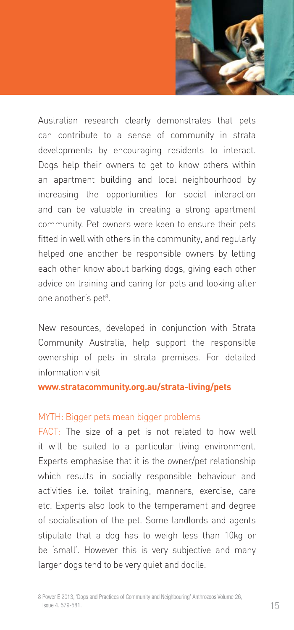

Australian research clearly demonstrates that pets can contribute to a sense of community in strata developments by encouraging residents to interact. Dogs help their owners to get to know others within an apartment building and local neighbourhood by increasing the opportunities for social interaction and can be valuable in creating a strong apartment community. Pet owners were keen to ensure their pets fitted in well with others in the community, and regularly helped one another be responsible owners by letting each other know about barking dogs, giving each other advice on training and caring for pets and looking after one another's pet<sup>8</sup>.

New resources, developed in conjunction with Strata Community Australia, help support the responsible ownership of pets in strata premises. For detailed information visit

#### **www.stratacommunity.org.au/strata-living/pets**

#### MYTH: Bigger pets mean bigger problems

FACT: The size of a pet is not related to how well it will be suited to a particular living environment. Experts emphasise that it is the owner/pet relationship which results in socially responsible behaviour and activities i.e. toilet training, manners, exercise, care etc. Experts also look to the temperament and degree of socialisation of the pet. Some landlords and agents stipulate that a dog has to weigh less than 10kg or be 'small'. However this is very subjective and many larger dogs tend to be very quiet and docile.